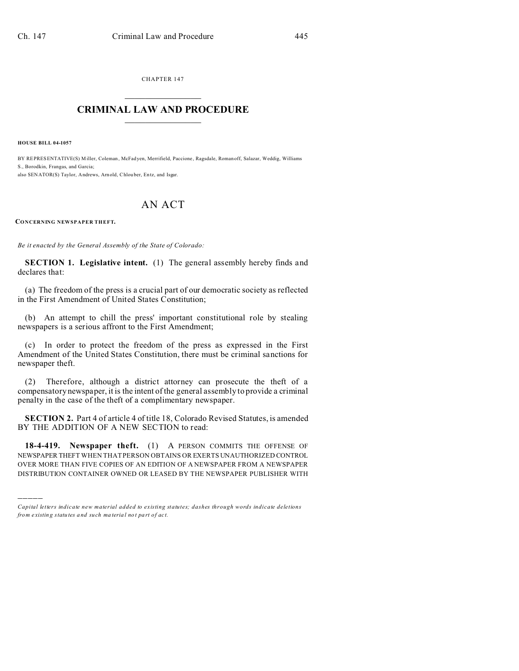CHAPTER 147  $\overline{\phantom{a}}$  , where  $\overline{\phantom{a}}$ 

## **CRIMINAL LAW AND PROCEDURE**  $\_$   $\_$   $\_$   $\_$   $\_$   $\_$   $\_$   $\_$   $\_$

**HOUSE BILL 04-1057**

)))))

BY REPRESENTATIVE(S) Miller, Coleman , McFad yen, Merrifield, Paccione , Ragsdale, Romanoff, Salazar, Weddig, Williams S., Borodkin, Frangas, and Garcia; also SENATOR(S) Taylor, Andrews, Arnold, Chlou ber, En tz, and Isgar.

## AN ACT

## **CONCERNING NEWSPAPER THEFT.**

*Be it enacted by the General Assembly of the State of Colorado:*

**SECTION 1. Legislative intent.** (1) The general assembly hereby finds and declares that:

(a) The freedom of the press is a crucial part of our democratic society as reflected in the First Amendment of United States Constitution;

(b) An attempt to chill the press' important constitutional role by stealing newspapers is a serious affront to the First Amendment;

(c) In order to protect the freedom of the press as expressed in the First Amendment of the United States Constitution, there must be criminal sanctions for newspaper theft.

(2) Therefore, although a district attorney can prosecute the theft of a compensatory newspaper, it is the intent of the general assembly to provide a criminal penalty in the case of the theft of a complimentary newspaper.

**SECTION 2.** Part 4 of article 4 of title 18, Colorado Revised Statutes, is amended BY THE ADDITION OF A NEW SECTION to read:

**18-4-419. Newspaper theft.** (1) A PERSON COMMITS THE OFFENSE OF NEWSPAPER THEFT WHEN THAT PERSON OBTAINS OR EXERTS UNAUTHORIZED CONTROL OVER MORE THAN FIVE COPIES OF AN EDITION OF A NEWSPAPER FROM A NEWSPAPER DISTRIBUTION CONTAINER OWNED OR LEASED BY THE NEWSPAPER PUBLISHER WITH

*Capital letters indicate new material added to existing statutes; dashes through words indicate deletions from e xistin g statu tes a nd such ma teria l no t pa rt of ac t.*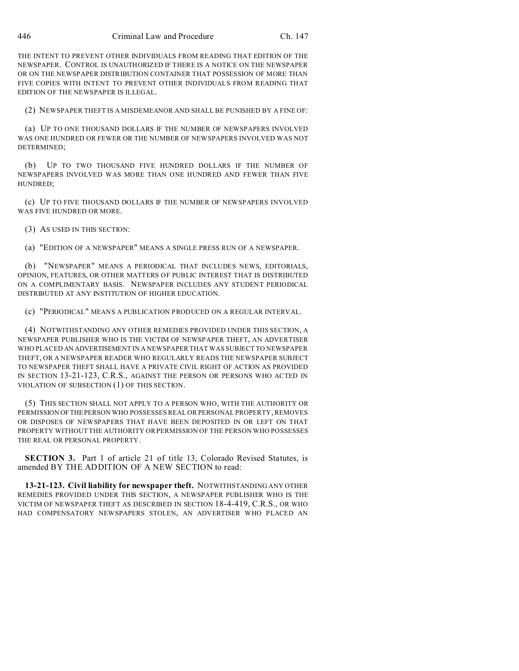THE INTENT TO PREVENT OTHER INDIVIDUALS FROM READING THAT EDITION OF THE NEWSPAPER. CONTROL IS UNAUTHORIZED IF THERE IS A NOTICE ON THE NEWSPAPER OR ON THE NEWSPAPER DISTRIBUTION CONTAINER THAT POSSESSION OF MORE THAN FIVE COPIES WITH INTENT TO PREVENT OTHER INDIVIDUALS FROM READING THAT EDITION OF THE NEWSPAPER IS ILLEGAL.

(2) NEWSPAPER THEFT IS A MISDEMEANOR AND SHALL BE PUNISHED BY A FINE OF:

(a) UP TO ONE THOUSAND DOLLARS IF THE NUMBER OF NEWSPAPERS INVOLVED WAS ONE HUNDRED OR FEWER OR THE NUMBER OF NEWSPAPERS INVOLVED WAS NOT DETERMINED;

(b) UP TO TWO THOUSAND FIVE HUNDRED DOLLARS IF THE NUMBER OF NEWSPAPERS INVOLVED WAS MORE THAN ONE HUNDRED AND FEWER THAN FIVE HUNDRED;

(c) UP TO FIVE THOUSAND DOLLARS IF THE NUMBER OF NEWSPAPERS INVOLVED WAS FIVE HUNDRED OR MORE.

(3) AS USED IN THIS SECTION:

(a) "EDITION OF A NEWSPAPER" MEANS A SINGLE PRESS RUN OF A NEWSPAPER.

(b) "NEWSPAPER" MEANS A PERIODICAL THAT INCLUDES NEWS, EDITORIALS, OPINION, FEATURES, OR OTHER MATTERS OF PUBLIC INTEREST THAT IS DISTRIBUTED ON A COMPLIMENTARY BASIS. NEWSPAPER INCLUDES ANY STUDENT PERIODICAL DISTRIBUTED AT ANY INSTITUTION OF HIGHER EDUCATION.

(c) "PERIODICAL" MEANS A PUBLICATION PRODUCED ON A REGULAR INTERVAL.

(4) NOTWITHSTANDING ANY OTHER REMEDIES PROVIDED UNDER THIS SECTION, A NEWSPAPER PUBLISHER WHO IS THE VICTIM OF NEWSPAPER THEFT, AN ADVERTISER WHO PLACED AN ADVERTISEMENT IN A NEWSPAPER THAT WAS SUBJECT TO NEWSPAPER THEFT, OR A NEWSPAPER READER WHO REGULARLY READS THE NEWSPAPER SUBJECT TO NEWSPAPER THEFT SHALL HAVE A PRIVATE CIVIL RIGHT OF ACTION AS PROVIDED IN SECTION 13-21-123, C.R.S., AGAINST THE PERSON OR PERSONS WHO ACTED IN VIOLATION OF SUBSECTION (1) OF THIS SECTION.

(5) THIS SECTION SHALL NOT APPLY TO A PERSON WHO, WITH THE AUTHORITY OR PERMISSION OFTHE PERSON WHO POSSESSES REAL OR PERSONAL PROPERTY, REMOVES OR DISPOSES OF NEWSPAPERS THAT HAVE BEEN DEPOSITED IN OR LEFT ON THAT PROPERTY WITHOUT THE AUTHORITY OR PERMISSION OF THE PERSON WHO POSSESSES THE REAL OR PERSONAL PROPERTY.

**SECTION 3.** Part 1 of article 21 of title 13, Colorado Revised Statutes, is amended BY THE ADDITION OF A NEW SECTION to read:

**13-21-123. Civil liability for newspaper theft.** NOTWITHSTANDING ANY OTHER REMEDIES PROVIDED UNDER THIS SECTION, A NEWSPAPER PUBLISHER WHO IS THE VICTIM OF NEWSPAPER THEFT AS DESCRIBED IN SECTION 18-4-419, C.R.S., OR WHO HAD COMPENSATORY NEWSPAPERS STOLEN, AN ADVERTISER WHO PLACED AN